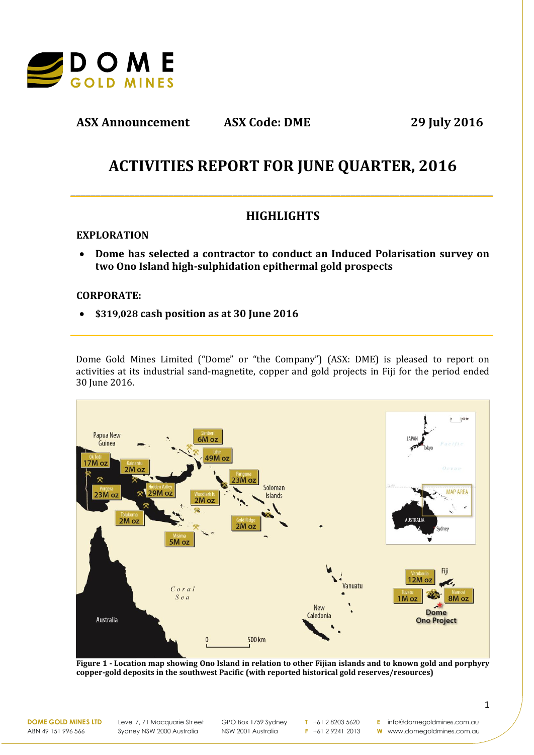

**ASX Announcement ASX Code: DME 29 July 2016**

# **ACTIVITIES REPORT FOR JUNE QUARTER, 2016**

**\_\_\_\_\_\_\_\_\_\_\_\_\_\_\_\_\_\_\_\_\_\_\_\_\_\_\_\_\_\_\_\_\_\_\_\_\_\_\_\_\_\_\_\_\_\_\_\_\_\_\_\_\_\_\_\_\_\_\_\_\_\_\_\_\_\_\_\_\_\_\_\_\_\_\_\_\_\_\_\_\_\_\_\_\_\_**

# **HIGHLIGHTS**

## **EXPLORATION**

 **Dome has selected a contractor to conduct an Induced Polarisation survey on two Ono Island high-sulphidation epithermal gold prospects**

### **CORPORATE:**

**\$319,028 cash position as at 30 June 2016**

Dome Gold Mines Limited ("Dome" or "the Company") (ASX: DME) is pleased to report on activities at its industrial sand-magnetite, copper and gold projects in Fiji for the period ended 30 June 2016.

**\_\_\_\_\_\_\_\_\_\_\_\_\_\_\_\_\_\_\_\_\_\_\_\_\_\_\_\_\_\_\_\_\_\_\_\_\_\_\_\_\_\_\_\_\_\_\_\_\_\_\_\_\_\_\_\_\_\_\_\_\_\_\_\_\_\_\_\_\_\_\_\_\_\_\_\_\_\_\_\_\_\_\_\_\_\_**



**Figure 1 - Location map showing Ono Island in relation to other Fijian islands and to known gold and porphyry copper-gold deposits in the southwest Pacific (with reported historical gold reserves/resources)**

**DOME GOLD MINES LTD** ABN 49 151 996 566

Level 7, 71 Macquarie Street Sydney NSW 2000 Australia

GPO Box 1759 Sydney NSW 2001 Australia

**T** +61 2 8203 5620 **F** +61 2 9241 2013

**E** info@domegoldmines.com.au

**W** www.domegoldmines.com.au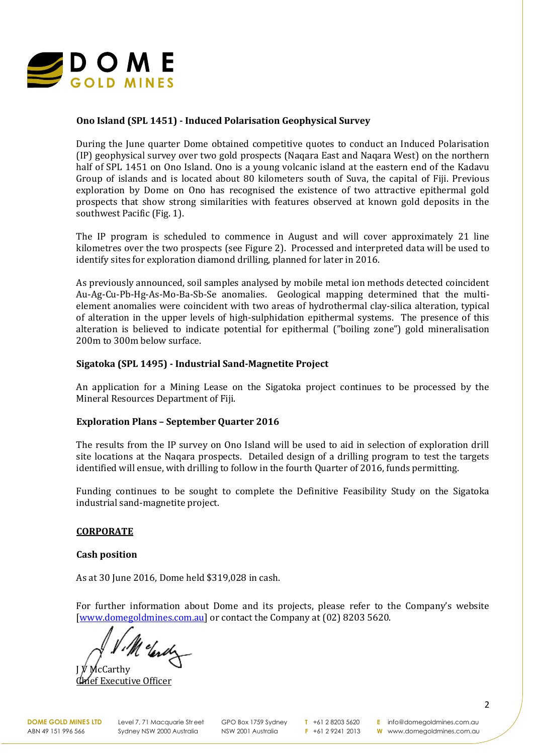

### **Ono Island (SPL 1451) - Induced Polarisation Geophysical Survey**

During the June quarter Dome obtained competitive quotes to conduct an Induced Polarisation (IP) geophysical survey over two gold prospects (Naqara East and Naqara West) on the northern half of SPL 1451 on Ono Island. Ono is a young volcanic island at the eastern end of the Kadavu Group of islands and is located about 80 kilometers south of Suva, the capital of Fiji. Previous exploration by Dome on Ono has recognised the existence of two attractive epithermal gold prospects that show strong similarities with features observed at known gold deposits in the southwest Pacific (Fig. 1).

The IP program is scheduled to commence in August and will cover approximately 21 line kilometres over the two prospects (see Figure 2). Processed and interpreted data will be used to identify sites for exploration diamond drilling, planned for later in 2016.

As previously announced, soil samples analysed by mobile metal ion methods detected coincident Au-Ag-Cu-Pb-Hg-As-Mo-Ba-Sb-Se anomalies. Geological mapping determined that the multielement anomalies were coincident with two areas of hydrothermal clay-silica alteration, typical of alteration in the upper levels of high-sulphidation epithermal systems. The presence of this alteration is believed to indicate potential for epithermal ("boiling zone") gold mineralisation 200m to 300m below surface.

### **Sigatoka (SPL 1495) - Industrial Sand-Magnetite Project**

An application for a Mining Lease on the Sigatoka project continues to be processed by the Mineral Resources Department of Fiji.

#### **Exploration Plans – September Quarter 2016**

The results from the IP survey on Ono Island will be used to aid in selection of exploration drill site locations at the Naqara prospects. Detailed design of a drilling program to test the targets identified will ensue, with drilling to follow in the fourth Quarter of 2016, funds permitting.

Funding continues to be sought to complete the Definitive Feasibility Study on the Sigatoka industrial sand-magnetite project.

#### **CORPORATE**

#### **Cash position**

As at 30 June 2016, Dome held \$319,028 in cash.

For further information about Dome and its projects, please refer to the Company's website [\[www.domegoldmines.com.au\]](http://www.domegoldmines.com.au/) or contact the Company at (02) 8203 5620.

Melendy

cCarthy **Executive Officer**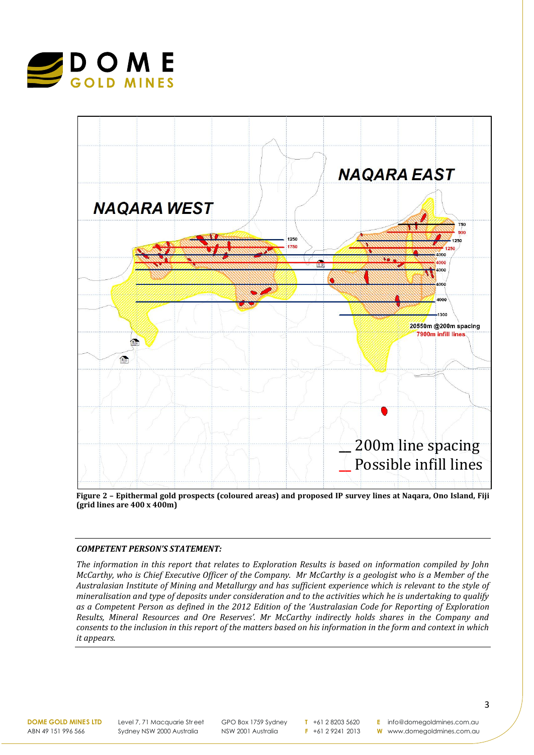



**Figure 2 – Epithermal gold prospects (coloured areas) and proposed IP survey lines at Naqara, Ono Island, Fiji (grid lines are 400 x 400m)**

#### *COMPETENT PERSON'S STATEMENT:*

*The information in this report that relates to Exploration Results is based on information compiled by John McCarthy, who is Chief Executive Officer of the Company. Mr McCarthy is a geologist who is a Member of the Australasian Institute of Mining and Metallurgy and has sufficient experience which is relevant to the style of mineralisation and type of deposits under consideration and to the activities which he is undertaking to qualify as a Competent Person as defined in the 2012 Edition of the 'Australasian Code for Reporting of Exploration Results, Mineral Resources and Ore Reserves'. Mr McCarthy indirectly holds shares in the Company and consents to the inclusion in this report of the matters based on his information in the form and context in which it appears.*

**DOME GOLD MINES LTD** ABN 49 151 996 566

Level 7, 71 Macquarie Street Sydney NSW 2000 Australia

GPO Box 1759 Sydney NSW 2001 Australia

**T** +61 2 8203 5620 **F** +61 2 9241 2013

**E** info@domegoldmines.com.au **W** www.domegoldmines.com.au